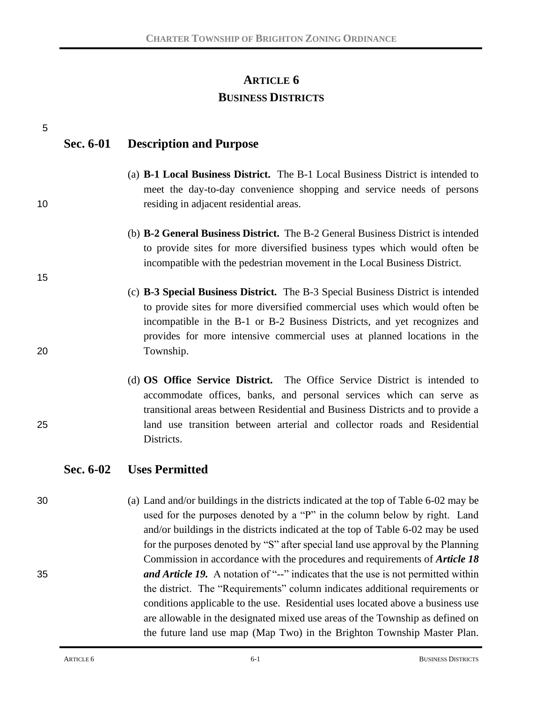# **ARTICLE 6 BUSINESS DISTRICTS**

| 5  |           |                                                                                                                                                                                                                                                                                                                                                                                                                         |
|----|-----------|-------------------------------------------------------------------------------------------------------------------------------------------------------------------------------------------------------------------------------------------------------------------------------------------------------------------------------------------------------------------------------------------------------------------------|
|    | Sec. 6-01 | <b>Description and Purpose</b>                                                                                                                                                                                                                                                                                                                                                                                          |
| 10 |           | (a) <b>B-1 Local Business District.</b> The B-1 Local Business District is intended to<br>meet the day-to-day convenience shopping and service needs of persons<br>residing in adjacent residential areas.                                                                                                                                                                                                              |
| 15 |           | (b) <b>B-2 General Business District.</b> The B-2 General Business District is intended<br>to provide sites for more diversified business types which would often be<br>incompatible with the pedestrian movement in the Local Business District.                                                                                                                                                                       |
| 20 |           | (c) <b>B-3 Special Business District.</b> The B-3 Special Business District is intended<br>to provide sites for more diversified commercial uses which would often be<br>incompatible in the B-1 or B-2 Business Districts, and yet recognizes and<br>provides for more intensive commercial uses at planned locations in the<br>Township.                                                                              |
| 25 |           | (d) <b>OS Office Service District.</b> The Office Service District is intended to<br>accommodate offices, banks, and personal services which can serve as<br>transitional areas between Residential and Business Districts and to provide a<br>land use transition between arterial and collector roads and Residential<br>Districts.                                                                                   |
|    | Sec. 6-02 | <b>Uses Permitted</b>                                                                                                                                                                                                                                                                                                                                                                                                   |
| 30 |           | (a) Land and/or buildings in the districts indicated at the top of Table 6-02 may be<br>used for the purposes denoted by a "P" in the column below by right. Land<br>and/or buildings in the districts indicated at the top of Table 6-02 may be used<br>for the purposes denoted by "S" after special land use approval by the Planning<br>Commission in accordance with the procedures and requirements of Article 18 |
| 35 |           | and Article 19. A notation of "--" indicates that the use is not permitted within<br>the district. The "Requirements" column indicates additional requirements or<br>conditions applicable to the use. Residential uses located above a business use<br>are allowable in the designated mixed use areas of the Township as defined on                                                                                   |

the future land use map (Map Two) in the Brighton Township Master Plan.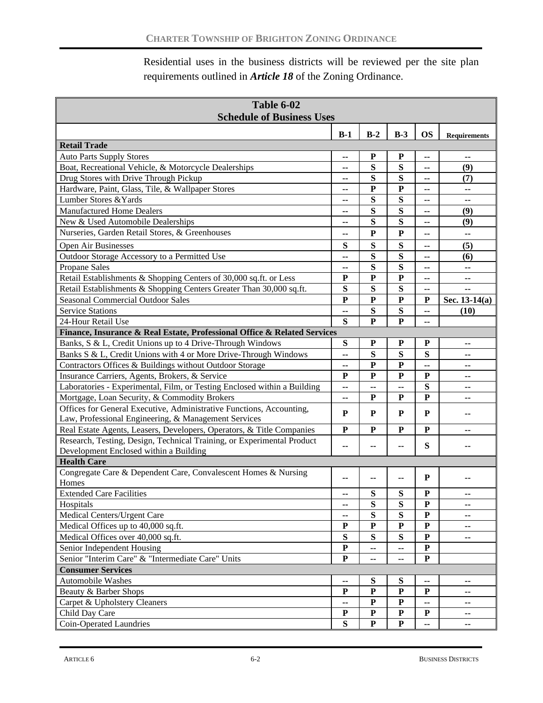Residential uses in the business districts will be reviewed per the site plan requirements outlined in *Article 18* of the Zoning Ordinance.

| Table 6-02                                                               |                          |              |              |                |                     |
|--------------------------------------------------------------------------|--------------------------|--------------|--------------|----------------|---------------------|
| <b>Schedule of Business Uses</b>                                         |                          |              |              |                |                     |
|                                                                          | $B-1$                    | $B-2$        | $B-3$        | <b>OS</b>      | <b>Requirements</b> |
| <b>Retail Trade</b>                                                      |                          |              |              |                |                     |
| <b>Auto Parts Supply Stores</b>                                          | --                       | ${\bf P}$    | P            | --             | --                  |
| Boat, Recreational Vehicle, & Motorcycle Dealerships                     | --                       | S            | S            | --             | (9)                 |
| Drug Stores with Drive Through Pickup                                    | --                       | S            | S            | --             | (7)                 |
| Hardware, Paint, Glass, Tile, & Wallpaper Stores                         | --                       | ${\bf P}$    | ${\bf P}$    | --             | --                  |
| Lumber Stores & Yards                                                    | --                       | S            | S            | ۰.             | --                  |
| <b>Manufactured Home Dealers</b>                                         | ۰.                       | S            | S            | ۰.             | (9)                 |
| New & Used Automobile Dealerships                                        | --                       | S            | S            | ۰.             | (9)                 |
| Nurseries, Garden Retail Stores, & Greenhouses                           | --                       | ${\bf P}$    | ${\bf P}$    | -−             | --                  |
| Open Air Businesses                                                      | S                        | S            | S            | ۰.             | (5)                 |
| Outdoor Storage Accessory to a Permitted Use                             | $\overline{a}$           | S            | S            | $\overline{a}$ | (6)                 |
| Propane Sales                                                            | ۰.                       | S            | S            | -−             | ٠.                  |
| Retail Establishments & Shopping Centers of 30,000 sq.ft. or Less        | P                        | $\mathbf{P}$ | ${\bf P}$    | --             | ٠.                  |
| Retail Establishments & Shopping Centers Greater Than 30,000 sq.ft.      | $\overline{\mathbf{s}}$  | S            | S            | -−             | --                  |
| <b>Seasonal Commercial Outdoor Sales</b>                                 | $\mathbf{P}$             | $\mathbf{P}$ | $\mathbf{P}$ | P              | Sec. 13-14(a)       |
| <b>Service Stations</b>                                                  | --                       | S            | S            | --             | (10)                |
| 24-Hour Retail Use                                                       | S                        | $\mathbf{P}$ | $\mathbf{P}$ | --             |                     |
| Finance, Insurance & Real Estate, Professional Office & Related Services |                          |              |              |                |                     |
| Banks, S & L, Credit Unions up to 4 Drive-Through Windows                | S                        | ${\bf P}$    | P            | ${\bf P}$      | --                  |
| Banks S & L, Credit Unions with 4 or More Drive-Through Windows          | --                       | S            | ${\bf S}$    | S              | --                  |
| Contractors Offices & Buildings without Outdoor Storage                  | --                       | P            | ${\bf P}$    | --             | --                  |
| Insurance Carriers, Agents, Brokers, & Service                           | P                        | P            | ${\bf P}$    | ${\bf P}$      | ۰.                  |
| Laboratories - Experimental, Film, or Testing Enclosed within a Building | $\overline{\phantom{a}}$ | --           | --           | S              | --                  |
| Mortgage, Loan Security, & Commodity Brokers                             | $\overline{\phantom{a}}$ | P            | P            | P              | ٠.                  |
| Offices for General Executive, Administrative Functions, Accounting,     |                          |              |              |                |                     |
| Law, Professional Engineering, & Management Services                     | P                        | P            | P            | P              |                     |
| Real Estate Agents, Leasers, Developers, Operators, & Title Companies    | ${\bf P}$                | ${\bf P}$    | P            | P              | --                  |
| Research, Testing, Design, Technical Training, or Experimental Product   |                          |              |              |                |                     |
| Development Enclosed within a Building                                   | --                       |              | ۰.           | ${\bf S}$      |                     |
| <b>Health Care</b>                                                       |                          |              |              |                |                     |
| Congregate Care & Dependent Care, Convalescent Homes & Nursing           |                          |              |              | P              |                     |
| Homes                                                                    | ٠.                       |              | ٠.           |                |                     |
| <b>Extended Care Facilities</b>                                          | --                       | S            | S            | P              |                     |
| Hospitals                                                                | ۰.                       | ${\bf S}$    | ${\bf S}$    | ${\bf P}$      | ۰.                  |
| Medical Centers/Urgent Care                                              | ۰.                       | S            | S            | ${\bf P}$      | -−                  |
| Medical Offices up to 40,000 sq.ft.                                      | ${\bf P}$                | ${\bf P}$    | ${\bf P}$    | $\mathbf P$    | ۰.                  |
| Medical Offices over 40,000 sq.ft.                                       | S                        | ${\bf S}$    | ${\bf S}$    | ${\bf P}$      | ۰.                  |
| Senior Independent Housing                                               | $\mathbf P$              | --           | --           | $\mathbf P$    |                     |
| Senior "Interim Care" & "Intermediate Care" Units                        | $\mathbf P$              | ۰.           | --           | $\mathbf P$    |                     |
| <b>Consumer Services</b>                                                 |                          |              |              |                |                     |
| Automobile Washes                                                        | --                       | ${\bf S}$    | ${\bf S}$    | ۰.             | --                  |
| Beauty & Barber Shops                                                    | ${\bf P}$                | ${\bf P}$    | ${\bf P}$    | $\mathbf{P}$   | ۰.                  |
| Carpet & Upholstery Cleaners                                             | --                       | $\mathbf P$  | $\mathbf P$  | --             | ۰.                  |
| Child Day Care                                                           | $\mathbf P$              | $\mathbf P$  | $\mathbf P$  | $\mathbf P$    | ۰.                  |
| Coin-Operated Laundries                                                  | ${\bf S}$                | ${\bf P}$    | ${\bf P}$    |                | ۰.                  |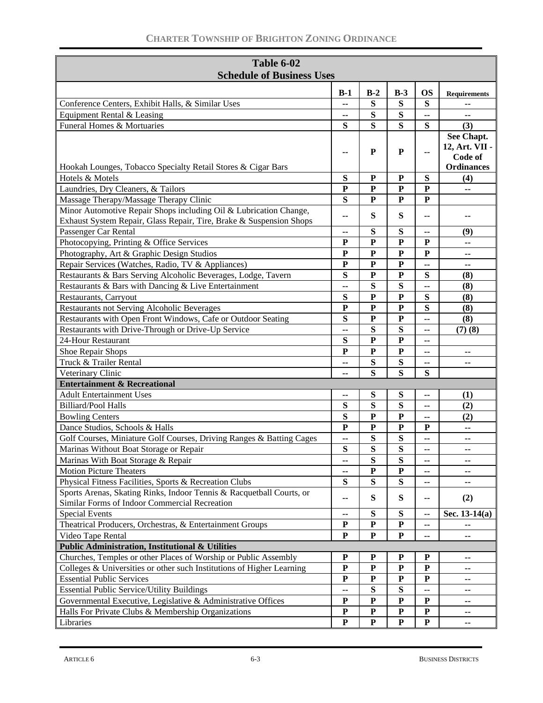| Table 6-02                                                            |              |              |                         |                |                     |
|-----------------------------------------------------------------------|--------------|--------------|-------------------------|----------------|---------------------|
| <b>Schedule of Business Uses</b>                                      |              |              |                         |                |                     |
|                                                                       |              |              |                         |                |                     |
| Conference Centers, Exhibit Halls, & Similar Uses                     | $B-1$        | $B-2$        | $B-3$                   | <b>OS</b><br>S | <b>Requirements</b> |
| Equipment Rental & Leasing                                            | ۰.           | S<br>S       | S<br>S                  |                |                     |
| Funeral Homes & Mortuaries                                            | ۰.<br>S      | S            | S                       | ۰.<br>S        | --<br>(3)           |
|                                                                       |              |              |                         |                | See Chapt.          |
|                                                                       |              |              |                         |                | 12, Art. VII -      |
|                                                                       | --           | P            | ${\bf P}$               | --             | Code of             |
| Hookah Lounges, Tobacco Specialty Retail Stores & Cigar Bars          |              |              |                         |                | <b>Ordinances</b>   |
| Hotels & Motels                                                       | S            | ${\bf P}$    | ${\bf P}$               | ${\bf S}$      | (4)                 |
| Laundries, Dry Cleaners, & Tailors                                    | $\mathbf{P}$ | ${\bf P}$    | ${\bf P}$               | ${\bf P}$      | --                  |
| Massage Therapy/Massage Therapy Clinic                                | S            | ${\bf P}$    | P                       | ${\bf P}$      |                     |
| Minor Automotive Repair Shops including Oil & Lubrication Change,     |              |              |                         |                |                     |
| Exhaust System Repair, Glass Repair, Tire, Brake & Suspension Shops   | ۰.           | S            | S                       | ۰.             | --                  |
| Passenger Car Rental                                                  | ۰.           | S            | S                       | ۰.             | (9)                 |
| Photocopying, Printing & Office Services                              | ${\bf P}$    | $\mathbf{P}$ | $\mathbf{P}$            | ${\bf P}$      | --                  |
| Photography, Art & Graphic Design Studios                             | ${\bf P}$    | $\mathbf{P}$ | ${\bf P}$               | ${\bf P}$      | --                  |
| Repair Services (Watches, Radio, TV & Appliances)                     | ${\bf P}$    | $\mathbf P$  | ${\bf P}$               | --             | --                  |
| Restaurants & Bars Serving Alcoholic Beverages, Lodge, Tavern         | S            | ${\bf P}$    | ${\bf P}$               | S              | (8)                 |
| Restaurants & Bars with Dancing & Live Entertainment                  | ۵.           | S            | S                       | --             | (8)                 |
| Restaurants, Carryout                                                 | S            | $\mathbf P$  | ${\bf P}$               | S              | (8)                 |
| Restaurants not Serving Alcoholic Beverages                           | ${\bf P}$    | $\mathbf{P}$ | $\mathbf{P}$            | S              | (8)                 |
| Restaurants with Open Front Windows, Cafe or Outdoor Seating          | S            | ${\bf P}$    | ${\bf P}$               | --             | (8)                 |
| Restaurants with Drive-Through or Drive-Up Service                    | Ξ.           | S            | S                       | ۰.             | (7)(8)              |
| 24-Hour Restaurant                                                    | S            | $\mathbf{P}$ | $\overline{\mathbf{P}}$ | --             |                     |
| Shoe Repair Shops                                                     | P            | $\mathbf{P}$ | P                       | --             | --                  |
| Truck & Trailer Rental                                                | ۰.           | S            | S                       | ۰.             | --                  |
| Veterinary Clinic                                                     | --           | S            | S                       | S              |                     |
| <b>Entertainment &amp; Recreational</b>                               |              |              |                         |                |                     |
| <b>Adult Entertainment Uses</b>                                       | --           | S            | S                       | ۰.             | (1)                 |
| <b>Billiard/Pool Halls</b>                                            | S            | S            | S                       | --             | (2)                 |
| <b>Bowling Centers</b>                                                | S            | $\mathbf{P}$ | $\mathbf{P}$            | --             | (2)                 |
| Dance Studios, Schools & Halls                                        | P            | $\mathbf{P}$ | ${\bf P}$               | P              | --                  |
| Golf Courses, Miniature Golf Courses, Driving Ranges & Batting Cages  | --           | S            | S                       | ۰.             | ۰.                  |
| Marinas Without Boat Storage or Repair                                | S            | S            | S                       | ۰.             | --                  |
| Marinas With Boat Storage & Repair                                    | ۰.           | S            | S                       | ۰.             | ۰.                  |
| <b>Motion Picture Theaters</b>                                        | ۰.           | ${\bf P}$    | $\mathbf{P}$            | ۰.             | --                  |
| Physical Fitness Facilities, Sports & Recreation Clubs                | S            | S            | ${\bf S}$               | ۰.             | --                  |
| Sports Arenas, Skating Rinks, Indoor Tennis & Racquetball Courts, or  |              |              |                         |                |                     |
| Similar Forms of Indoor Commercial Recreation                         | ۰.           | ${\bf S}$    | S                       | ۰.             | (2)                 |
| <b>Special Events</b>                                                 | ۰.           | S            | S                       | ۰.             | Sec. $13-14(a)$     |
| Theatrical Producers, Orchestras, & Entertainment Groups              | P            | ${\bf P}$    | $\mathbf P$             | --             |                     |
| Video Tape Rental                                                     | ${\bf P}$    | ${\bf P}$    | ${\bf P}$               | ۰.             | ۰.                  |
| <b>Public Administration, Institutional &amp; Utilities</b>           |              |              |                         |                |                     |
| Churches, Temples or other Places of Worship or Public Assembly       | ${\bf P}$    | $\mathbf P$  | $\mathbf P$             | $\mathbf P$    | ۰.                  |
| Colleges & Universities or other such Institutions of Higher Learning | $\mathbf P$  | $\mathbf P$  | ${\bf P}$               | ${\bf P}$      | --                  |
| <b>Essential Public Services</b>                                      | ${\bf P}$    | $\mathbf P$  | ${\bf P}$               | ${\bf P}$      | --                  |
| <b>Essential Public Service/Utility Buildings</b>                     | --           | ${\bf S}$    | S                       | --             | --                  |
| Governmental Executive, Legislative & Administrative Offices          | ${\bf P}$    | $\mathbf P$  | ${\bf P}$               | ${\bf P}$      | ۰.                  |
| Halls For Private Clubs & Membership Organizations                    | ${\bf P}$    | $\mathbf P$  | $\mathbf P$             | ${\bf P}$      | --                  |
| Libraries                                                             | $\mathbf P$  | ${\bf P}$    | $\mathbf{P}$            | ${\bf P}$      | ۰.                  |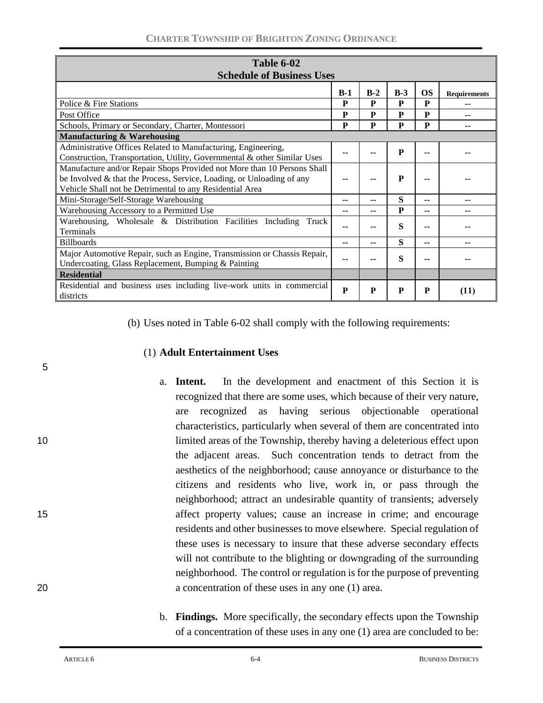| Table 6-02                                                                                                                                                                                                   |       |       |              |           |                     |
|--------------------------------------------------------------------------------------------------------------------------------------------------------------------------------------------------------------|-------|-------|--------------|-----------|---------------------|
| <b>Schedule of Business Uses</b>                                                                                                                                                                             |       |       |              |           |                     |
|                                                                                                                                                                                                              | $B-1$ | $B-2$ | $B-3$        | <b>OS</b> | <b>Requirements</b> |
| Police & Fire Stations                                                                                                                                                                                       | P     | P     | P            | P         |                     |
| Post Office                                                                                                                                                                                                  | P     | P     | P            | P         |                     |
| Schools, Primary or Secondary, Charter, Montessori                                                                                                                                                           | P     | P     | P            | P         |                     |
| <b>Manufacturing &amp; Warehousing</b>                                                                                                                                                                       |       |       |              |           |                     |
| Administrative Offices Related to Manufacturing, Engineering,<br>Construction, Transportation, Utility, Governmental & other Similar Uses                                                                    |       |       | P            |           |                     |
| Manufacture and/or Repair Shops Provided not More than 10 Persons Shall<br>be Involved & that the Process, Service, Loading, or Unloading of any<br>Vehicle Shall not be Detrimental to any Residential Area |       |       | $\mathbf{P}$ |           |                     |
| Mini-Storage/Self-Storage Warehousing                                                                                                                                                                        | --    | --    | S            | --        |                     |
| Warehousing Accessory to a Permitted Use                                                                                                                                                                     |       | --    | P            | --        |                     |
| Warehousing, Wholesale & Distribution Facilities Including<br>Truck<br><b>Terminals</b>                                                                                                                      |       |       | S            |           |                     |
| <b>Billboards</b>                                                                                                                                                                                            | --    | --    | S            | --        |                     |
| Major Automotive Repair, such as Engine, Transmission or Chassis Repair,<br>Undercoating, Glass Replacement, Bumping & Painting                                                                              |       |       | S            |           |                     |
| <b>Residential</b>                                                                                                                                                                                           |       |       |              |           |                     |
| Residential and business uses including live-work units in commercial<br>districts                                                                                                                           | P     | P     | P            | P         | (11)                |

(b) Uses noted in Table 6-02 shall comply with the following requirements:

### (1) **Adult Entertainment Uses**

- a. **Intent.**In the development and enactment of this Section it is recognized that there are some uses, which because of their very nature, are recognized as having serious objectionable operational characteristics, particularly when several of them are concentrated into 10 limited areas of the Township, thereby having a deleterious effect upon the adjacent areas. Such concentration tends to detract from the aesthetics of the neighborhood; cause annoyance or disturbance to the citizens and residents who live, work in, or pass through the neighborhood; attract an undesirable quantity of transients; adversely 15 affect property values; cause an increase in crime; and encourage residents and other businesses to move elsewhere. Special regulation of these uses is necessary to insure that these adverse secondary effects will not contribute to the blighting or downgrading of the surrounding neighborhood. The control or regulation is for the purpose of preventing 20 a concentration of these uses in any one (1) area.
	- b. **Findings.** More specifically, the secondary effects upon the Township of a concentration of these uses in any one (1) area are concluded to be: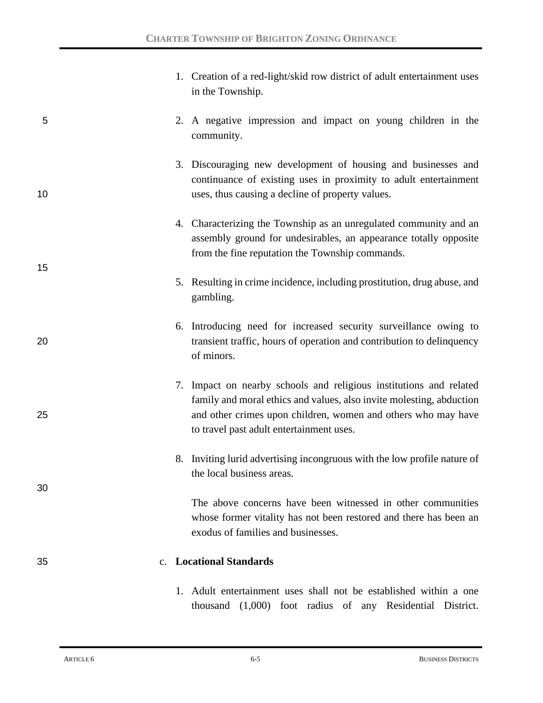|    |             | 1. Creation of a red-light/skid row district of adult entertainment uses<br>in the Township.                                                                                                                                                            |
|----|-------------|---------------------------------------------------------------------------------------------------------------------------------------------------------------------------------------------------------------------------------------------------------|
| 5  |             | 2. A negative impression and impact on young children in the<br>community.                                                                                                                                                                              |
| 10 |             | 3. Discouraging new development of housing and businesses and<br>continuance of existing uses in proximity to adult entertainment<br>uses, thus causing a decline of property values.                                                                   |
| 15 |             | 4. Characterizing the Township as an unregulated community and an<br>assembly ground for undesirables, an appearance totally opposite<br>from the fine reputation the Township commands.                                                                |
|    |             | 5. Resulting in crime incidence, including prostitution, drug abuse, and<br>gambling.                                                                                                                                                                   |
| 20 |             | 6. Introducing need for increased security surveillance owing to<br>transient traffic, hours of operation and contribution to delinquency<br>of minors.                                                                                                 |
| 25 |             | 7. Impact on nearby schools and religious institutions and related<br>family and moral ethics and values, also invite molesting, abduction<br>and other crimes upon children, women and others who may have<br>to travel past adult entertainment uses. |
|    |             | 8. Inviting lurid advertising incongruous with the low profile nature of<br>the local business areas.                                                                                                                                                   |
| 30 |             | The above concerns have been witnessed in other communities<br>whose former vitality has not been restored and there has been an<br>exodus of families and businesses.                                                                                  |
| 35 | $c_{\cdot}$ | <b>Locational Standards</b>                                                                                                                                                                                                                             |
|    |             | 1. Adult entertainment uses shall not be established within a one<br>thousand (1,000) foot radius of any Residential District.                                                                                                                          |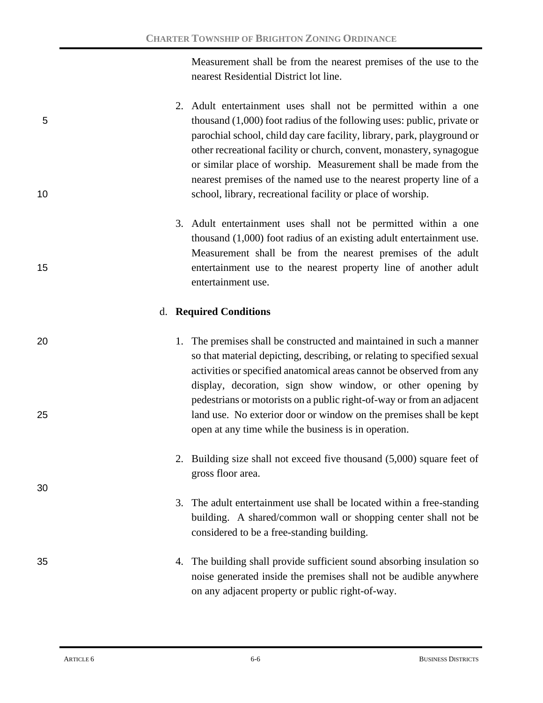Measurement shall be from the nearest premises of the use to the nearest Residential District lot line.

- 2. Adult entertainment uses shall not be permitted within a one 5 thousand (1,000) foot radius of the following uses: public, private or parochial school, child day care facility, library, park, playground or other recreational facility or church, convent, monastery, synagogue or similar place of worship. Measurement shall be made from the nearest premises of the named use to the nearest property line of a 10 school, library, recreational facility or place of worship.
- 3. Adult entertainment uses shall not be permitted within a one thousand (1,000) foot radius of an existing adult entertainment use. Measurement shall be from the nearest premises of the adult 15 entertainment use to the nearest property line of another adult entertainment use.

## d. **Required Conditions**

- 20 20 1. The premises shall be constructed and maintained in such a manner so that material depicting, describing, or relating to specified sexual activities or specified anatomical areas cannot be observed from any display, decoration, sign show window, or other opening by pedestrians or motorists on a public right-of-way or from an adjacent 25 land use. No exterior door or window on the premises shall be kept open at any time while the business is in operation.
	- 2. Building size shall not exceed five thousand (5,000) square feet of gross floor area.
	- 3. The adult entertainment use shall be located within a free-standing building. A shared/common wall or shopping center shall not be considered to be a free-standing building.
- 35 4. The building shall provide sufficient sound absorbing insulation so noise generated inside the premises shall not be audible anywhere on any adjacent property or public right-of-way.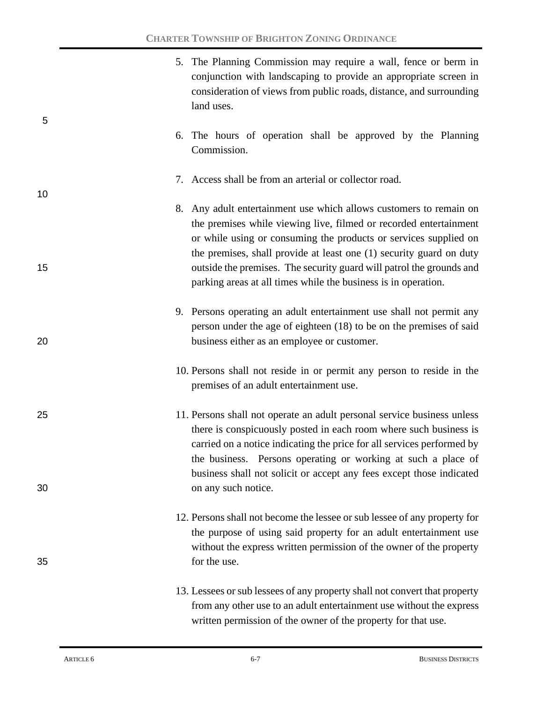|    | 5. The Planning Commission may require a wall, fence or berm in<br>conjunction with landscaping to provide an appropriate screen in<br>consideration of views from public roads, distance, and surrounding<br>land uses.                                                                                                                                        |
|----|-----------------------------------------------------------------------------------------------------------------------------------------------------------------------------------------------------------------------------------------------------------------------------------------------------------------------------------------------------------------|
| 5  | 6. The hours of operation shall be approved by the Planning<br>Commission.                                                                                                                                                                                                                                                                                      |
| 10 | 7. Access shall be from an arterial or collector road.                                                                                                                                                                                                                                                                                                          |
|    | 8. Any adult entertainment use which allows customers to remain on<br>the premises while viewing live, filmed or recorded entertainment<br>or while using or consuming the products or services supplied on                                                                                                                                                     |
| 15 | the premises, shall provide at least one (1) security guard on duty<br>outside the premises. The security guard will patrol the grounds and<br>parking areas at all times while the business is in operation.                                                                                                                                                   |
| 20 | 9. Persons operating an adult entertainment use shall not permit any<br>person under the age of eighteen (18) to be on the premises of said<br>business either as an employee or customer.                                                                                                                                                                      |
|    | 10. Persons shall not reside in or permit any person to reside in the<br>premises of an adult entertainment use.                                                                                                                                                                                                                                                |
| 25 | 11. Persons shall not operate an adult personal service business unless<br>there is conspicuously posted in each room where such business is<br>carried on a notice indicating the price for all services performed by<br>the business. Persons operating or working at such a place of<br>business shall not solicit or accept any fees except those indicated |
| 30 | on any such notice.                                                                                                                                                                                                                                                                                                                                             |
| 35 | 12. Persons shall not become the lessee or sub lessee of any property for<br>the purpose of using said property for an adult entertainment use<br>without the express written permission of the owner of the property<br>for the use.                                                                                                                           |
|    | 13. Lessees or sub lessees of any property shall not convert that property<br>from any other use to an adult entertainment use without the express<br>written permission of the owner of the property for that use.                                                                                                                                             |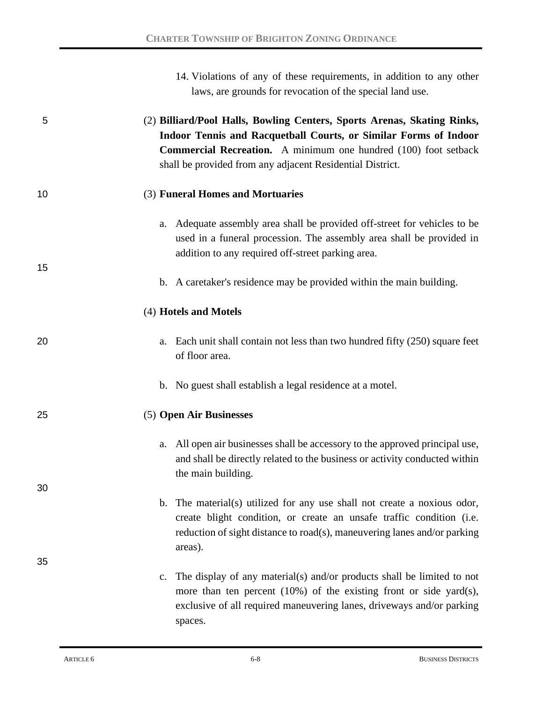|    | 14. Violations of any of these requirements, in addition to any other<br>laws, are grounds for revocation of the special land use.                                                                                                                                                 |
|----|------------------------------------------------------------------------------------------------------------------------------------------------------------------------------------------------------------------------------------------------------------------------------------|
| 5  | (2) Billiard/Pool Halls, Bowling Centers, Sports Arenas, Skating Rinks,<br>Indoor Tennis and Racquetball Courts, or Similar Forms of Indoor<br><b>Commercial Recreation.</b> A minimum one hundred (100) foot setback<br>shall be provided from any adjacent Residential District. |
| 10 | (3) Funeral Homes and Mortuaries                                                                                                                                                                                                                                                   |
| 15 | a. Adequate assembly area shall be provided off-street for vehicles to be<br>used in a funeral procession. The assembly area shall be provided in<br>addition to any required off-street parking area.                                                                             |
|    | b. A caretaker's residence may be provided within the main building.                                                                                                                                                                                                               |
|    | (4) Hotels and Motels                                                                                                                                                                                                                                                              |
| 20 | a. Each unit shall contain not less than two hundred fifty (250) square feet<br>of floor area.                                                                                                                                                                                     |
|    | b. No guest shall establish a legal residence at a motel.                                                                                                                                                                                                                          |
| 25 | (5) Open Air Businesses                                                                                                                                                                                                                                                            |
|    | a. All open air businesses shall be accessory to the approved principal use,<br>and shall be directly related to the business or activity conducted within<br>the main building.                                                                                                   |
| 30 | b. The material(s) utilized for any use shall not create a noxious odor,<br>create blight condition, or create an unsafe traffic condition (i.e.<br>reduction of sight distance to road(s), maneuvering lanes and/or parking<br>areas).                                            |
| 35 | c. The display of any material(s) and/or products shall be limited to not<br>more than ten percent $(10\%)$ of the existing front or side yard $(s)$ ,<br>exclusive of all required maneuvering lanes, driveways and/or parking<br>spaces.                                         |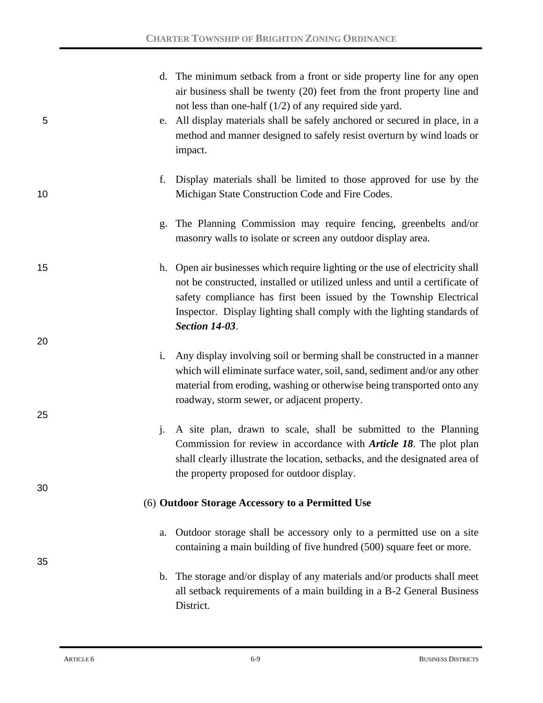| 5  |                | d. The minimum setback from a front or side property line for any open<br>air business shall be twenty (20) feet from the front property line and<br>not less than one-half $(1/2)$ of any required side yard.<br>e. All display materials shall be safely anchored or secured in place, in a<br>method and manner designed to safely resist overturn by wind loads or<br>impact. |
|----|----------------|-----------------------------------------------------------------------------------------------------------------------------------------------------------------------------------------------------------------------------------------------------------------------------------------------------------------------------------------------------------------------------------|
| 10 | f.             | Display materials shall be limited to those approved for use by the<br>Michigan State Construction Code and Fire Codes.                                                                                                                                                                                                                                                           |
|    | g.             | The Planning Commission may require fencing, greenbelts and/or<br>masonry walls to isolate or screen any outdoor display area.                                                                                                                                                                                                                                                    |
| 15 |                | h. Open air businesses which require lighting or the use of electricity shall<br>not be constructed, installed or utilized unless and until a certificate of<br>safety compliance has first been issued by the Township Electrical<br>Inspector. Display lighting shall comply with the lighting standards of<br><b>Section 14-03.</b>                                            |
| 20 |                |                                                                                                                                                                                                                                                                                                                                                                                   |
|    | i.             | Any display involving soil or berming shall be constructed in a manner<br>which will eliminate surface water, soil, sand, sediment and/or any other<br>material from eroding, washing or otherwise being transported onto any<br>roadway, storm sewer, or adjacent property.                                                                                                      |
| 25 | $\mathbf{i}$ . | A site plan, drawn to scale, shall be submitted to the Planning<br>Commission for review in accordance with <i>Article 18</i> . The plot plan<br>shall clearly illustrate the location, setbacks, and the designated area of<br>the property proposed for outdoor display.                                                                                                        |
| 30 |                | (6) Outdoor Storage Accessory to a Permitted Use                                                                                                                                                                                                                                                                                                                                  |
|    |                |                                                                                                                                                                                                                                                                                                                                                                                   |
| 35 | a.             | Outdoor storage shall be accessory only to a permitted use on a site<br>containing a main building of five hundred (500) square feet or more.                                                                                                                                                                                                                                     |
|    |                | b. The storage and/or display of any materials and/or products shall meet<br>all setback requirements of a main building in a B-2 General Business<br>District.                                                                                                                                                                                                                   |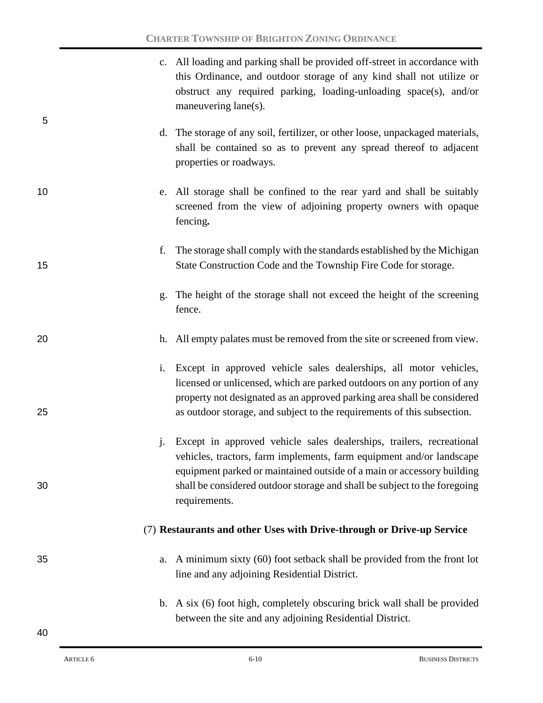|          | c. All loading and parking shall be provided off-street in accordance with<br>this Ordinance, and outdoor storage of any kind shall not utilize or<br>obstruct any required parking, loading-unloading space(s), and/or<br>maneuvering lane(s).                                                                      |
|----------|----------------------------------------------------------------------------------------------------------------------------------------------------------------------------------------------------------------------------------------------------------------------------------------------------------------------|
| 5        | d. The storage of any soil, fertilizer, or other loose, unpackaged materials,<br>shall be contained so as to prevent any spread thereof to adjacent<br>properties or roadways.                                                                                                                                       |
| 10       | e. All storage shall be confined to the rear yard and shall be suitably<br>screened from the view of adjoining property owners with opaque<br>fencing.                                                                                                                                                               |
| f.<br>15 | The storage shall comply with the standards established by the Michigan<br>State Construction Code and the Township Fire Code for storage.                                                                                                                                                                           |
| g.       | The height of the storage shall not exceed the height of the screening<br>fence.                                                                                                                                                                                                                                     |
| 20       | h. All empty palates must be removed from the site or screened from view.                                                                                                                                                                                                                                            |
| 25       | i. Except in approved vehicle sales dealerships, all motor vehicles,<br>licensed or unlicensed, which are parked outdoors on any portion of any<br>property not designated as an approved parking area shall be considered<br>as outdoor storage, and subject to the requirements of this subsection.                |
| j.<br>30 | Except in approved vehicle sales dealerships, trailers, recreational<br>vehicles, tractors, farm implements, farm equipment and/or landscape<br>equipment parked or maintained outside of a main or accessory building<br>shall be considered outdoor storage and shall be subject to the foregoing<br>requirements. |
|          | (7) Restaurants and other Uses with Drive-through or Drive-up Service                                                                                                                                                                                                                                                |
| 35<br>a. | A minimum sixty (60) foot setback shall be provided from the front lot<br>line and any adjoining Residential District.                                                                                                                                                                                               |
|          | b. A six (6) foot high, completely obscuring brick wall shall be provided<br>between the site and any adjoining Residential District.                                                                                                                                                                                |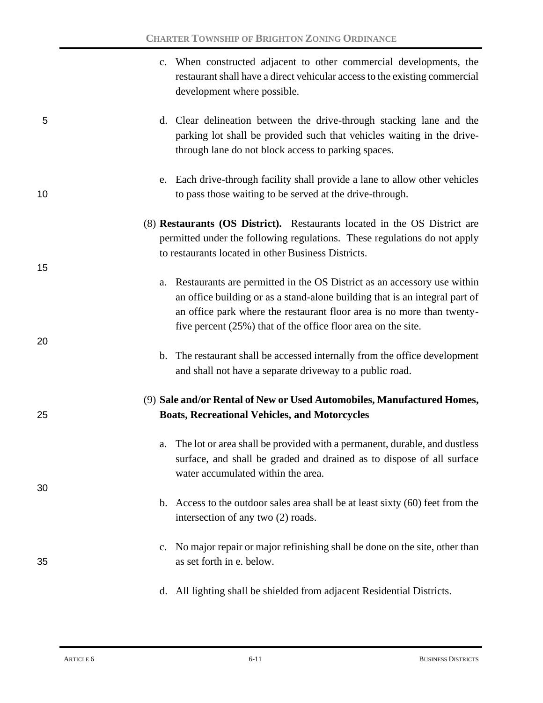|    | c. When constructed adjacent to other commercial developments, the<br>restaurant shall have a direct vehicular access to the existing commercial<br>development where possible.                                                                                                                        |
|----|--------------------------------------------------------------------------------------------------------------------------------------------------------------------------------------------------------------------------------------------------------------------------------------------------------|
| 5  | d. Clear delineation between the drive-through stacking lane and the<br>parking lot shall be provided such that vehicles waiting in the drive-<br>through lane do not block access to parking spaces.                                                                                                  |
| 10 | e. Each drive-through facility shall provide a lane to allow other vehicles<br>to pass those waiting to be served at the drive-through.                                                                                                                                                                |
|    | (8) Restaurants (OS District). Restaurants located in the OS District are<br>permitted under the following regulations. These regulations do not apply<br>to restaurants located in other Business Districts.                                                                                          |
| 15 | a. Restaurants are permitted in the OS District as an accessory use within<br>an office building or as a stand-alone building that is an integral part of<br>an office park where the restaurant floor area is no more than twenty-<br>five percent $(25%)$ that of the office floor area on the site. |
| 20 | b. The restaurant shall be accessed internally from the office development<br>and shall not have a separate driveway to a public road.                                                                                                                                                                 |
| 25 | (9) Sale and/or Rental of New or Used Automobiles, Manufactured Homes,<br><b>Boats, Recreational Vehicles, and Motorcycles</b>                                                                                                                                                                         |
| 30 | The lot or area shall be provided with a permanent, durable, and dustless<br>a.<br>surface, and shall be graded and drained as to dispose of all surface<br>water accumulated within the area.                                                                                                         |
|    | b. Access to the outdoor sales area shall be at least sixty $(60)$ feet from the<br>intersection of any two (2) roads.                                                                                                                                                                                 |
| 35 | No major repair or major refinishing shall be done on the site, other than<br>c.<br>as set forth in e. below.                                                                                                                                                                                          |
|    | All lighting shall be shielded from adjacent Residential Districts.<br>d.                                                                                                                                                                                                                              |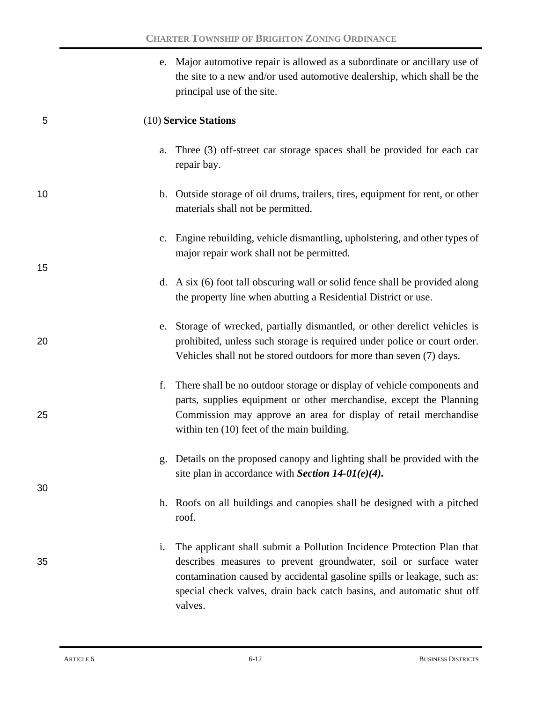|    | e. Major automotive repair is allowed as a subordinate or ancillary use of<br>the site to a new and/or used automotive dealership, which shall be the<br>principal use of the site.                                                                                                                                        |
|----|----------------------------------------------------------------------------------------------------------------------------------------------------------------------------------------------------------------------------------------------------------------------------------------------------------------------------|
| 5  | (10) Service Stations                                                                                                                                                                                                                                                                                                      |
|    | a. Three (3) off-street car storage spaces shall be provided for each car<br>repair bay.                                                                                                                                                                                                                                   |
| 10 | b. Outside storage of oil drums, trailers, tires, equipment for rent, or other<br>materials shall not be permitted.                                                                                                                                                                                                        |
|    | Engine rebuilding, vehicle dismantling, upholstering, and other types of<br>c.<br>major repair work shall not be permitted.                                                                                                                                                                                                |
| 15 | d. A six (6) foot tall obscuring wall or solid fence shall be provided along<br>the property line when abutting a Residential District or use.                                                                                                                                                                             |
| 20 | e. Storage of wrecked, partially dismantled, or other derelict vehicles is<br>prohibited, unless such storage is required under police or court order.<br>Vehicles shall not be stored outdoors for more than seven (7) days.                                                                                              |
| 25 | There shall be no outdoor storage or display of vehicle components and<br>f.<br>parts, supplies equipment or other merchandise, except the Planning<br>Commission may approve an area for display of retail merchandise<br>within ten (10) feet of the main building.                                                      |
| 30 | Details on the proposed canopy and lighting shall be provided with the<br>g.<br>site plan in accordance with Section $14-01(e)(4)$ .                                                                                                                                                                                       |
|    | h. Roofs on all buildings and canopies shall be designed with a pitched<br>roof.                                                                                                                                                                                                                                           |
| 35 | The applicant shall submit a Pollution Incidence Protection Plan that<br>$\mathbf{i}$ .<br>describes measures to prevent groundwater, soil or surface water<br>contamination caused by accidental gasoline spills or leakage, such as:<br>special check valves, drain back catch basins, and automatic shut off<br>valves. |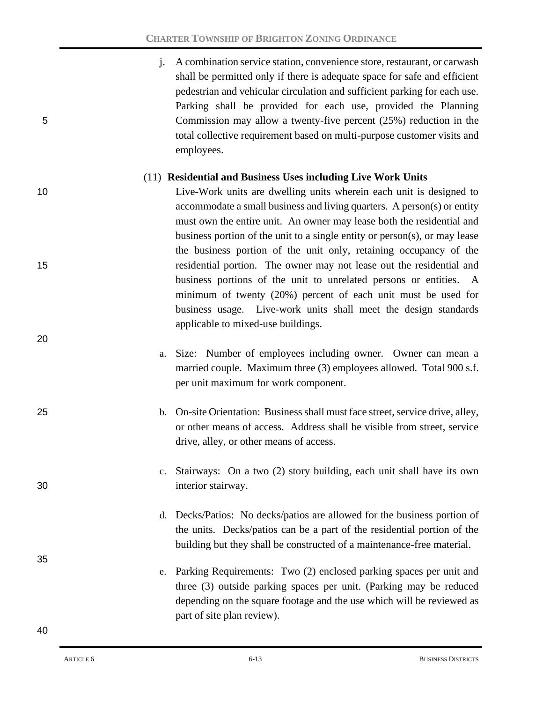j. A combination service station, convenience store, restaurant, or carwash shall be permitted only if there is adequate space for safe and efficient pedestrian and vehicular circulation and sufficient parking for each use. Parking shall be provided for each use, provided the Planning 5 Commission may allow a twenty-five percent (25%) reduction in the total collective requirement based on multi-purpose customer visits and employees.

### (11) **Residential and Business Uses including Live Work Units**

10 Live-Work units are dwelling units wherein each unit is designed to accommodate a small business and living quarters. A person(s) or entity must own the entire unit. An owner may lease both the residential and business portion of the unit to a single entity or person(s), or may lease the business portion of the unit only, retaining occupancy of the 15 residential portion. The owner may not lease out the residential and business portions of the unit to unrelated persons or entities. A minimum of twenty (20%) percent of each unit must be used for business usage. Live-work units shall meet the design standards applicable to mixed-use buildings.

- a. Size: Number of employees including owner. Owner can mean a married couple. Maximum three (3) employees allowed. Total 900 s.f. per unit maximum for work component.
- 25 b. On-site Orientation: Business shall must face street, service drive, alley, or other means of access. Address shall be visible from street, service drive, alley, or other means of access.
- c. Stairways: On a two (2) story building, each unit shall have its own 30 interior stairway.
	- d. Decks/Patios: No decks/patios are allowed for the business portion of the units. Decks/patios can be a part of the residential portion of the building but they shall be constructed of a maintenance-free material.
	- e. Parking Requirements: Two (2) enclosed parking spaces per unit and three (3) outside parking spaces per unit. (Parking may be reduced depending on the square footage and the use which will be reviewed as part of site plan review).

35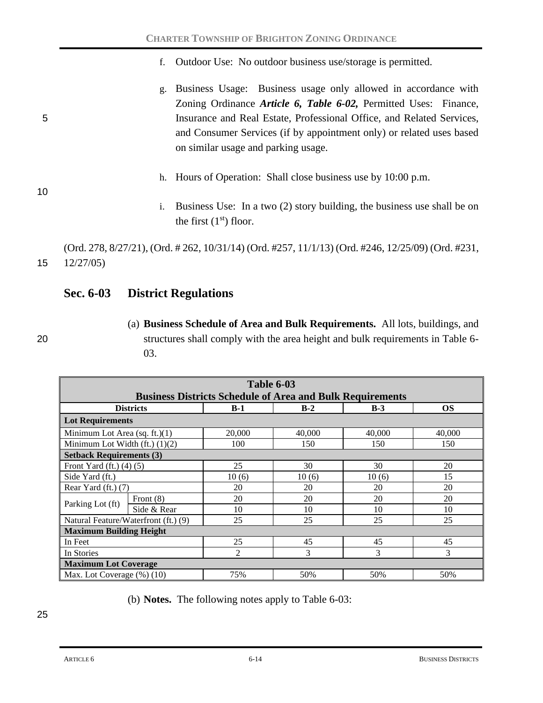- f. Outdoor Use: No outdoor business use/storage is permitted.
- g. Business Usage: Business usage only allowed in accordance with Zoning Ordinance *Article 6, Table 6-02,* Permitted Uses:Finance, 5 Insurance and Real Estate, Professional Office, and Related Services, and Consumer Services (if by appointment only) or related uses based on similar usage and parking usage.
	- h. Hours of Operation: Shall close business use by 10:00 p.m.
	- i. Business Use: In a two (2) story building, the business use shall be on the first  $(1<sup>st</sup>)$  floor.

(Ord. 278, 8/27/21), (Ord. # 262, 10/31/14) (Ord. #257, 11/1/13) (Ord. #246, 12/25/09) (Ord. #231, 15 12/27/05)

# **Sec. 6-03 District Regulations**

10

(a) **Business Schedule of Area and Bulk Requirements.** All lots, buildings, and 20 structures shall comply with the area height and bulk requirements in Table 6- 03.

| <b>Table 6-03</b><br><b>Business Districts Schedule of Area and Bulk Requirements</b> |             |                |        |        |           |  |
|---------------------------------------------------------------------------------------|-------------|----------------|--------|--------|-----------|--|
| <b>Districts</b>                                                                      |             | $B-1$          | $B-2$  | $B-3$  | <b>OS</b> |  |
| <b>Lot Requirements</b>                                                               |             |                |        |        |           |  |
| Minimum Lot Area (sq. ft.) $(1)$                                                      |             | 20,000         | 40,000 | 40,000 | 40,000    |  |
| Minimum Lot Width $(ft)$ $(1)(2)$                                                     |             | 100            | 150    | 150    | 150       |  |
| <b>Setback Requirements (3)</b>                                                       |             |                |        |        |           |  |
| Front Yard (ft.) $(4)$ (5)                                                            |             | 25             | 30     | 30     | 20        |  |
| Side Yard (ft.)                                                                       |             | 10(6)          | 10(6)  | 10(6)  | 15        |  |
| Rear Yard $(ft.)$ (7)                                                                 |             | 20             | 20     | 20     | 20        |  |
| Parking Lot (ft)                                                                      | Front $(8)$ | 20             | 20     | 20     | 20        |  |
|                                                                                       | Side & Rear | 10             | 10     | 10     | 10        |  |
| Natural Feature/Waterfront (ft.) (9)                                                  |             | 25             | 25     | 25     | 25        |  |
| <b>Maximum Building Height</b>                                                        |             |                |        |        |           |  |
| In Feet                                                                               |             | 25             | 45     | 45     | 45        |  |
| In Stories                                                                            |             | $\mathfrak{D}$ | 3      | 3      | 3         |  |
| <b>Maximum Lot Coverage</b>                                                           |             |                |        |        |           |  |
| Max. Lot Coverage $(\%)$ (10)                                                         |             | 75%            | 50%    | 50%    | 50%       |  |

(b) **Notes.** The following notes apply to Table 6-03: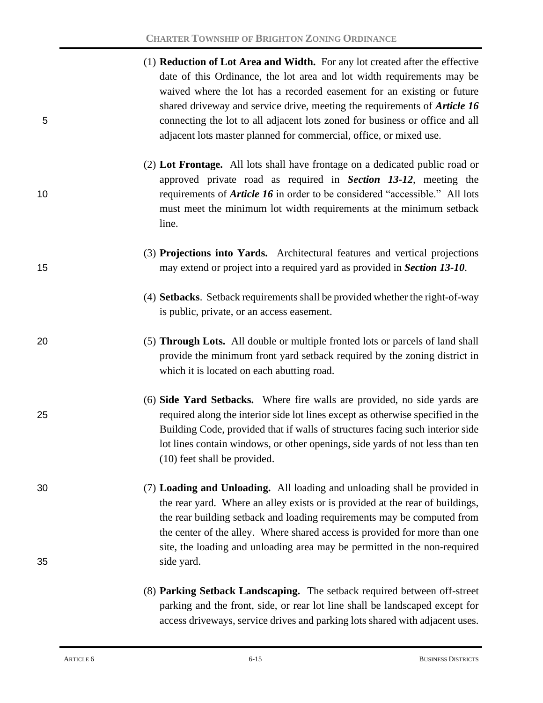|    | (1) <b>Reduction of Lot Area and Width.</b> For any lot created after the effective |
|----|-------------------------------------------------------------------------------------|
|    | date of this Ordinance, the lot area and lot width requirements may be              |
|    | waived where the lot has a recorded easement for an existing or future              |
|    | shared driveway and service drive, meeting the requirements of <b>Article 16</b>    |
| 5. | connecting the lot to all adjacent lots zoned for business or office and all        |
|    | adjacent lots master planned for commercial, office, or mixed use.                  |

- (2) **Lot Frontage.** All lots shall have frontage on a dedicated public road or approved private road as required in *Section 13-12*, meeting the 10 requirements of *Article 16* in order to be considered "accessible." All lots must meet the minimum lot width requirements at the minimum setback line.
- (3) **Projections into Yards.** Architectural features and vertical projections 15 may extend or project into a required yard as provided in *Section 13-10*.
	- (4) **Setbacks**. Setback requirements shall be provided whether the right-of-way is public, private, or an access easement.
- 20 (5) **Through Lots.** All double or multiple fronted lots or parcels of land shall provide the minimum front yard setback required by the zoning district in which it is located on each abutting road.
- (6) **Side Yard Setbacks.** Where fire walls are provided, no side yards are 25 required along the interior side lot lines except as otherwise specified in the Building Code, provided that if walls of structures facing such interior side lot lines contain windows, or other openings, side yards of not less than ten (10) feet shall be provided.
- 30 (7) **Loading and Unloading.** All loading and unloading shall be provided in the rear yard. Where an alley exists or is provided at the rear of buildings, the rear building setback and loading requirements may be computed from the center of the alley. Where shared access is provided for more than one site, the loading and unloading area may be permitted in the non-required 35 side yard.
	- (8) **Parking Setback Landscaping.** The setback required between off-street parking and the front, side, or rear lot line shall be landscaped except for access driveways, service drives and parking lots shared with adjacent uses.